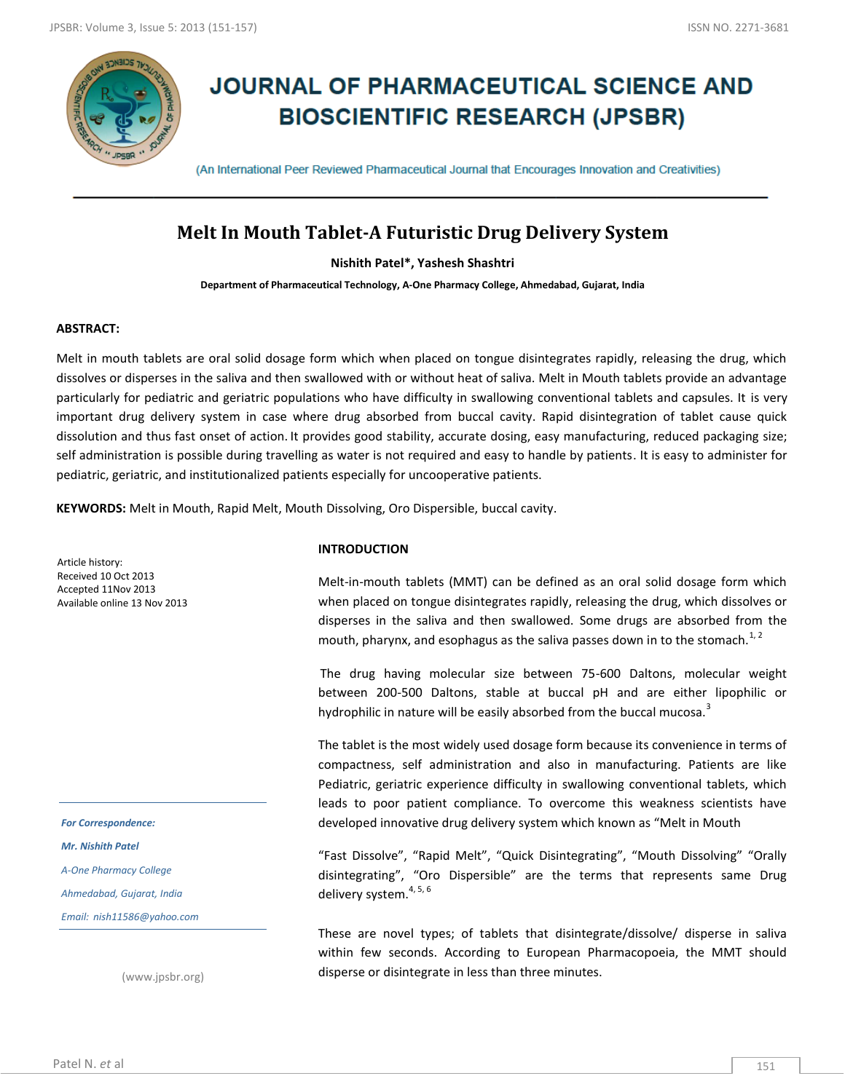

# **JOURNAL OF PHARMACEUTICAL SCIENCE AND BIOSCIENTIFIC RESEARCH (JPSBR)**

(An International Peer Reviewed Pharmaceutical Journal that Encourages Innovation and Creativities)

## **Melt In Mouth Tablet-A Futuristic Drug Delivery System**

**Nishith Patel\*, Yashesh Shashtri**

**Department of Pharmaceutical Technology, A-One Pharmacy College, Ahmedabad, Gujarat, India**

#### **ABSTRACT:**

Melt in mouth tablets are oral solid dosage form which when placed on tongue disintegrates rapidly, releasing the drug, which dissolves or disperses in the saliva and then swallowed with or without heat of saliva. Melt in Mouth tablets provide an advantage particularly for pediatric and geriatric populations who have difficulty in swallowing conventional tablets and capsules. It is very important drug delivery system in case where drug absorbed from buccal cavity. Rapid disintegration of tablet cause quick dissolution and thus fast onset of action. It provides good stability, accurate dosing, easy manufacturing, reduced packaging size; self administration is possible during travelling as water is not required and easy to handle by patients. It is easy to administer for pediatric, geriatric, and institutionalized patients especially for uncooperative patients.

**KEYWORDS:** Melt in Mouth, Rapid Melt, Mouth Dissolving, Oro Dispersible, buccal cavity.

Article history: Received 10 Oct 2013 Accepted 11Nov 2013 Available online 13 Nov 2013

*For Correspondence:*

*Mr. Nishith Patel*

*A-One Pharmacy College*

*Ahmedabad, Gujarat, India*

*Email: nish11586@yahoo.com*

(www.jpsbr.org)

#### **INTRODUCTION**

Melt-in-mouth tablets (MMT) can be defined as an oral solid dosage form which when placed on tongue disintegrates rapidly, releasing the drug, which dissolves or disperses in the saliva and then swallowed. Some drugs are absorbed from the mouth, pharynx, and esophagus as the saliva passes down in to the stomach.<sup>1, 2</sup>

The drug having molecular size between 75-600 Daltons, molecular weight between 200-500 Daltons, stable at buccal pH and are either lipophilic or hydrophilic in nature will be easily absorbed from the buccal mucosa.<sup>3</sup>

The tablet is the most widely used dosage form because its convenience in terms of compactness, self administration and also in manufacturing. Patients are like Pediatric, geriatric experience difficulty in swallowing conventional tablets, which leads to poor patient compliance. To overcome this weakness scientists have developed innovative drug delivery system which known as "Melt in Mouth

"Fast Dissolve", "Rapid Melt", "Quick Disintegrating", "Mouth Dissolving" "Orally disintegrating", "Oro Dispersible" are the terms that represents same Drug delivery system. $4, 5, 6$ 

These are novel types; of tablets that disintegrate/dissolve/ disperse in saliva within few seconds. According to European Pharmacopoeia, the MMT should disperse or disintegrate in less than three minutes.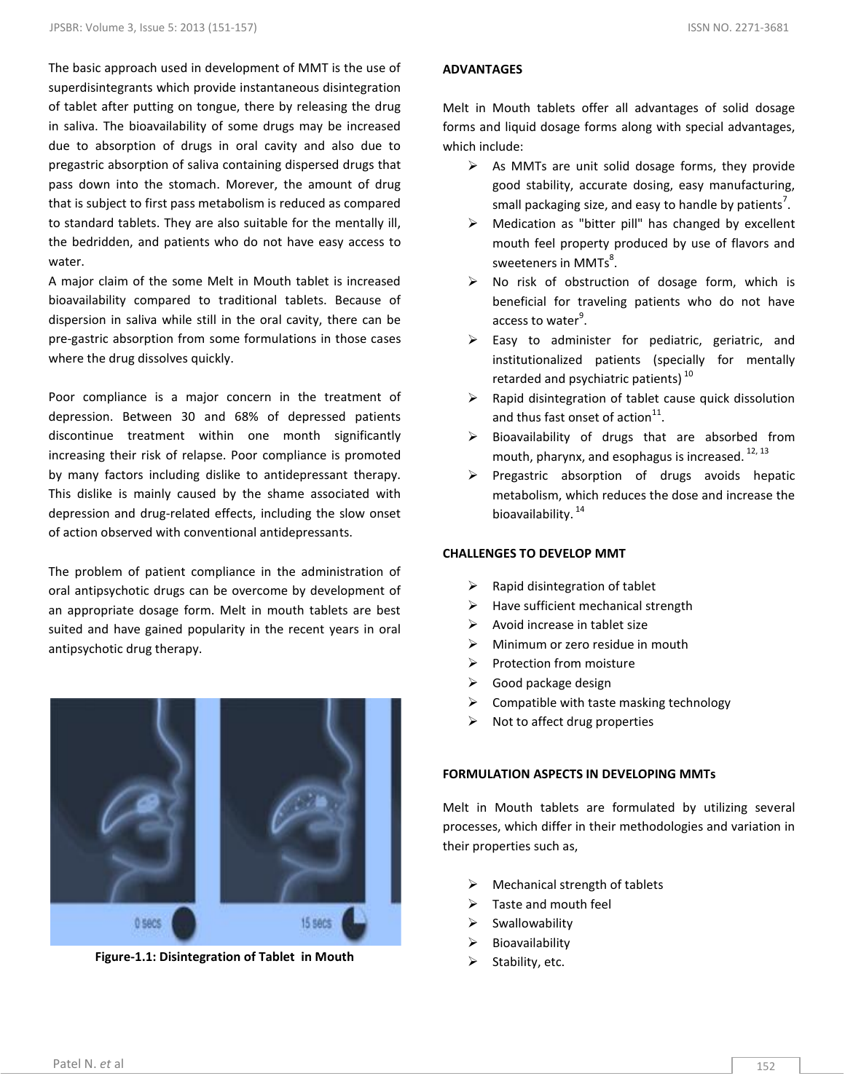The basic approach used in development of MMT is the use of superdisintegrants which provide instantaneous disintegration of tablet after putting on tongue, there by releasing the drug in saliva. The bioavailability of some drugs may be increased due to absorption of drugs in oral cavity and also due to pregastric absorption of saliva containing dispersed drugs that pass down into the stomach. Morever, the amount of drug that is subject to first pass metabolism is reduced as compared to standard tablets. They are also suitable for the mentally ill, the bedridden, and patients who do not have easy access to water.

A major claim of the some Melt in Mouth tablet is increased bioavailability compared to traditional tablets. Because of dispersion in saliva while still in the oral cavity, there can be pre-gastric absorption from some formulations in those cases where the drug dissolves quickly.

Poor compliance is a major concern in the treatment of depression. Between 30 and 68% of depressed patients discontinue treatment within one month significantly increasing their risk of relapse. Poor compliance is promoted by many factors including dislike to antidepressant therapy. This dislike is mainly caused by the shame associated with depression and drug-related effects, including the slow onset of action observed with conventional antidepressants.

The problem of patient compliance in the administration of oral antipsychotic drugs can be overcome by development of an appropriate dosage form. Melt in mouth tablets are best suited and have gained popularity in the recent years in oral antipsychotic drug therapy.



**Figure-1.1: Disintegration of Tablet in Mouth**

#### **ADVANTAGES**

Melt in Mouth tablets offer all advantages of solid dosage forms and liquid dosage forms along with special advantages, which include:

- $\triangleright$  As MMTs are unit solid dosage forms, they provide good stability, accurate dosing, easy manufacturing, small packaging size, and easy to handle by patients<sup>7</sup>.
- $\triangleright$  Medication as "bitter pill" has changed by excellent mouth feel property produced by use of flavors and sweeteners in MMTs $^{8}$ .
- $\triangleright$  No risk of obstruction of dosage form, which is beneficial for traveling patients who do not have access to water<sup>9</sup>.
- $\triangleright$  Easy to administer for pediatric, geriatric, and institutionalized patients (specially for mentally retarded and psychiatric patients)<sup>10</sup>
- $\triangleright$  Rapid disintegration of tablet cause quick dissolution and thus fast onset of action $^{11}$ .
- $\triangleright$  Bioavailability of drugs that are absorbed from mouth, pharynx, and esophagus is increased.  $^{12, 13}$
- $\triangleright$  Pregastric absorption of drugs avoids hepatic metabolism, which reduces the dose and increase the bioavailability.<sup>14</sup>

#### **CHALLENGES TO DEVELOP MMT**

- $\triangleright$  Rapid disintegration of tablet
- $\triangleright$  Have sufficient mechanical strength
- $\triangleright$  Avoid increase in tablet size
- $\triangleright$  Minimum or zero residue in mouth
- $\triangleright$  Protection from moisture
- $\triangleright$  Good package design
- $\triangleright$  Compatible with taste masking technology
- $\triangleright$  Not to affect drug properties

#### **FORMULATION ASPECTS IN DEVELOPING MMTs**

Melt in Mouth tablets are formulated by utilizing several processes, which differ in their methodologies and variation in their properties such as,

- $\triangleright$  Mechanical strength of tablets
- $\triangleright$  Taste and mouth feel
- $\triangleright$  Swallowability
- $\triangleright$  Bioavailability
- $\triangleright$  Stability, etc.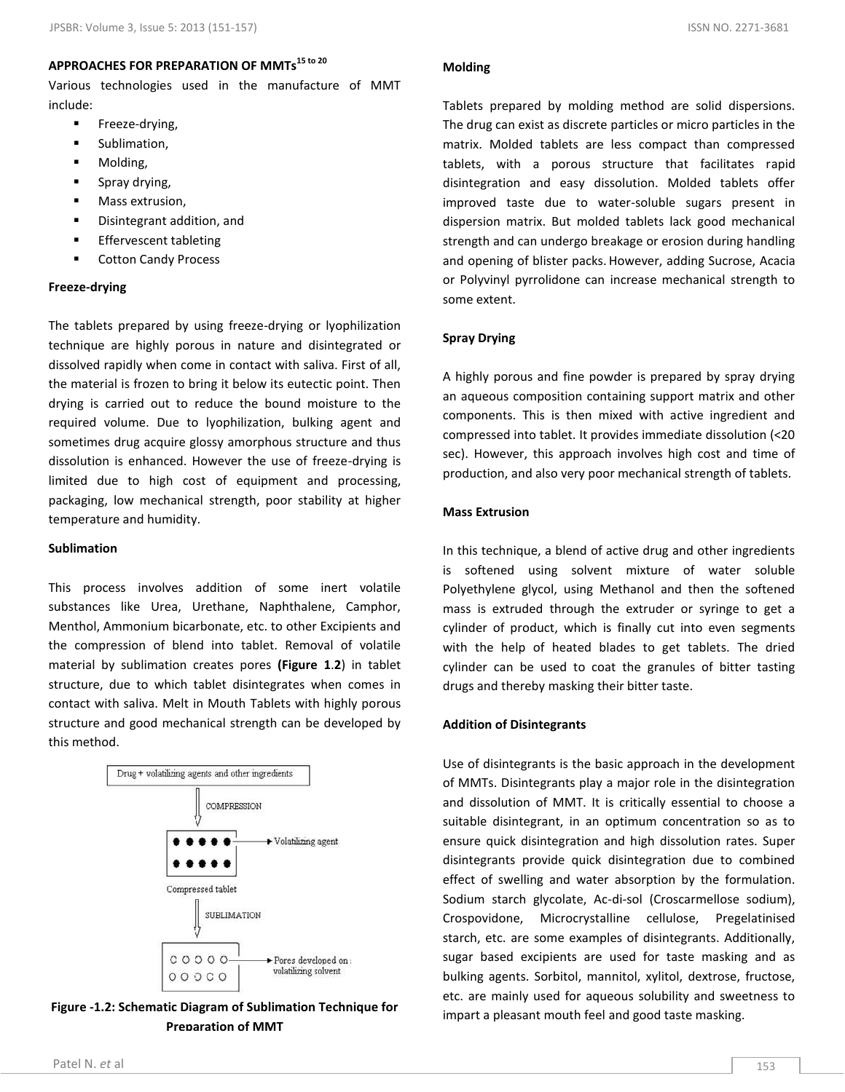## **APPROACHES FOR PREPARATION OF MMTs15 to 20**

Various technologies used in the manufacture of MMT include:

- **Freeze-drying,**
- **sublimation,**
- **Molding,**
- Spray drying,
- Mass extrusion,
- Disintegrant addition, and
- **Effervescent tableting**
- Cotton Candy Process

#### **Freeze-drying**

The tablets prepared by using freeze-drying or lyophilization technique are highly porous in nature and disintegrated or dissolved rapidly when come in contact with saliva. First of all, the material is frozen to bring it below its eutectic point. Then drying is carried out to reduce the bound moisture to the required volume. Due to lyophilization, bulking agent and sometimes drug acquire glossy amorphous structure and thus dissolution is enhanced. However the use of freeze-drying is limited due to high cost of equipment and processing, packaging, low mechanical strength, poor stability at higher temperature and humidity.

#### **Sublimation**

This process involves addition of some inert volatile substances like Urea, Urethane, Naphthalene, Camphor, Menthol, Ammonium bicarbonate, etc. to other Excipients and the compression of blend into tablet. Removal of volatile material by sublimation creates pores **(Figure 1**.**2**) in tablet structure, due to which tablet disintegrates when comes in contact with saliva. Melt in Mouth Tablets with highly porous structure and good mechanical strength can be developed by this method.



**Figure -1.2: Schematic Diagram of Sublimation Technique for Preparation of MMT**

#### **Molding**

Tablets prepared by molding method are solid dispersions. The drug can exist as discrete particles or micro particles in the matrix. Molded tablets are less compact than compressed tablets, with a porous structure that facilitates rapid disintegration and easy dissolution. Molded tablets offer improved taste due to water-soluble sugars present in dispersion matrix. But molded tablets lack good mechanical strength and can undergo breakage or erosion during handling and opening of blister packs. However, adding Sucrose, Acacia or Polyvinyl pyrrolidone can increase mechanical strength to some extent.

#### **Spray Drying**

A highly porous and fine powder is prepared by spray drying an aqueous composition containing support matrix and other components. This is then mixed with active ingredient and compressed into tablet. It provides immediate dissolution (<20 sec). However, this approach involves high cost and time of production, and also very poor mechanical strength of tablets.

#### **Mass Extrusion**

In this technique, a blend of active drug and other ingredients is softened using solvent mixture of water soluble Polyethylene glycol, using Methanol and then the softened mass is extruded through the extruder or syringe to get a cylinder of product, which is finally cut into even segments with the help of heated blades to get tablets. The dried cylinder can be used to coat the granules of bitter tasting drugs and thereby masking their bitter taste.

#### **Addition of Disintegrants**

Use of disintegrants is the basic approach in the development of MMTs. Disintegrants play a major role in the disintegration and dissolution of MMT. It is critically essential to choose a suitable disintegrant, in an optimum concentration so as to ensure quick disintegration and high dissolution rates. Super disintegrants provide quick disintegration due to combined effect of swelling and water absorption by the formulation. Sodium starch glycolate, Ac-di-sol (Croscarmellose sodium), Crospovidone, Microcrystalline cellulose, Pregelatinised starch, etc. are some examples of disintegrants. Additionally, sugar based excipients are used for taste masking and as bulking agents. Sorbitol, mannitol, xylitol, dextrose, fructose, etc. are mainly used for aqueous solubility and sweetness to impart a pleasant mouth feel and good taste masking.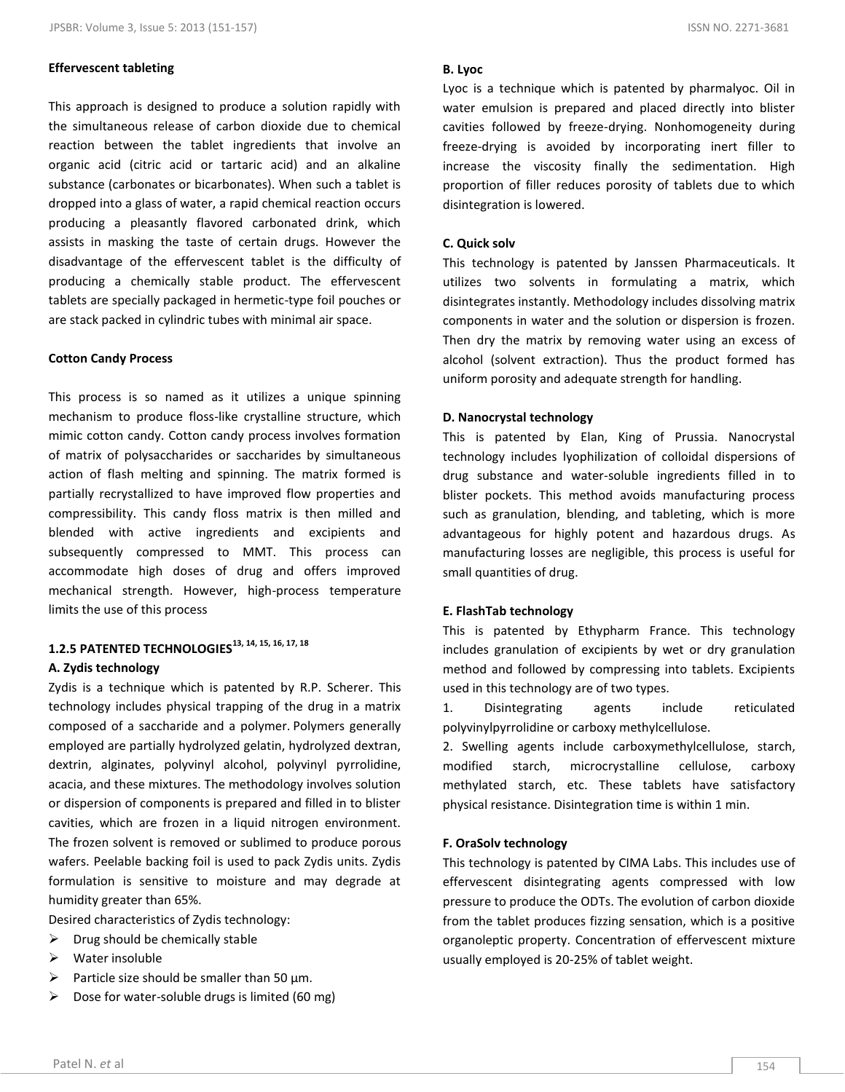#### **Effervescent tableting**

This approach is designed to produce a solution rapidly with the simultaneous release of carbon dioxide due to chemical reaction between the tablet ingredients that involve an organic acid (citric acid or tartaric acid) and an alkaline substance (carbonates or bicarbonates). When such a tablet is dropped into a glass of water, a rapid chemical reaction occurs producing a pleasantly flavored carbonated drink, which assists in masking the taste of certain drugs. However the disadvantage of the effervescent tablet is the difficulty of producing a chemically stable product. The effervescent tablets are specially packaged in hermetic-type foil pouches or are stack packed in cylindric tubes with minimal air space.

#### **Cotton Candy Process**

This process is so named as it utilizes a unique spinning mechanism to produce floss-like crystalline structure, which mimic cotton candy. Cotton candy process involves formation of matrix of polysaccharides or saccharides by simultaneous action of flash melting and spinning. The matrix formed is partially recrystallized to have improved flow properties and compressibility. This candy floss matrix is then milled and blended with active ingredients and excipients and subsequently compressed to MMT. This process can accommodate high doses of drug and offers improved mechanical strength. However, high-process temperature limits the use of this process

## **1.2.5 PATENTED TECHNOLOGIES13, 14, 15, 16, 17, 18 A. Zydis technology**

Zydis is a technique which is patented by R.P. Scherer. This technology includes physical trapping of the drug in a matrix composed of a saccharide and a polymer. Polymers generally employed are partially hydrolyzed gelatin, hydrolyzed dextran, dextrin, alginates, polyvinyl alcohol, polyvinyl pyrrolidine, acacia, and these mixtures. The methodology involves solution or dispersion of components is prepared and filled in to blister cavities, which are frozen in a liquid nitrogen environment. The frozen solvent is removed or sublimed to produce porous wafers. Peelable backing foil is used to pack Zydis units. Zydis formulation is sensitive to moisture and may degrade at humidity greater than 65%.

Desired characteristics of Zydis technology:

- $\triangleright$  Drug should be chemically stable
- $\triangleright$  Water insoluble
- $\triangleright$  Particle size should be smaller than 50 µm.
- $\triangleright$  Dose for water-soluble drugs is limited (60 mg)

#### **B. Lyoc**

Lyoc is a technique which is patented by pharmalyoc. Oil in water emulsion is prepared and placed directly into blister cavities followed by freeze-drying. Nonhomogeneity during freeze-drying is avoided by incorporating inert filler to increase the viscosity finally the sedimentation. High proportion of filler reduces porosity of tablets due to which disintegration is lowered.

#### **C. Quick solv**

This technology is patented by Janssen Pharmaceuticals. It utilizes two solvents in formulating a matrix, which disintegrates instantly. Methodology includes dissolving matrix components in water and the solution or dispersion is frozen. Then dry the matrix by removing water using an excess of alcohol (solvent extraction). Thus the product formed has uniform porosity and adequate strength for handling.

#### **D. Nanocrystal technology**

This is patented by Elan, King of Prussia. Nanocrystal technology includes lyophilization of colloidal dispersions of drug substance and water-soluble ingredients filled in to blister pockets. This method avoids manufacturing process such as granulation, blending, and tableting, which is more advantageous for highly potent and hazardous drugs. As manufacturing losses are negligible, this process is useful for small quantities of drug.

#### **E. FlashTab technology**

This is patented by Ethypharm France. This technology includes granulation of excipients by wet or dry granulation method and followed by compressing into tablets. Excipients used in this technology are of two types.

1. Disintegrating agents include reticulated polyvinylpyrrolidine or carboxy methylcellulose.

2. Swelling agents include carboxymethylcellulose, starch, modified starch, microcrystalline cellulose, carboxy methylated starch, etc. These tablets have satisfactory physical resistance. Disintegration time is within 1 min.

#### **F. OraSolv technology**

This technology is patented by CIMA Labs. This includes use of effervescent disintegrating agents compressed with low pressure to produce the ODTs. The evolution of carbon dioxide from the tablet produces fizzing sensation, which is a positive organoleptic property. Concentration of effervescent mixture usually employed is 20-25% of tablet weight.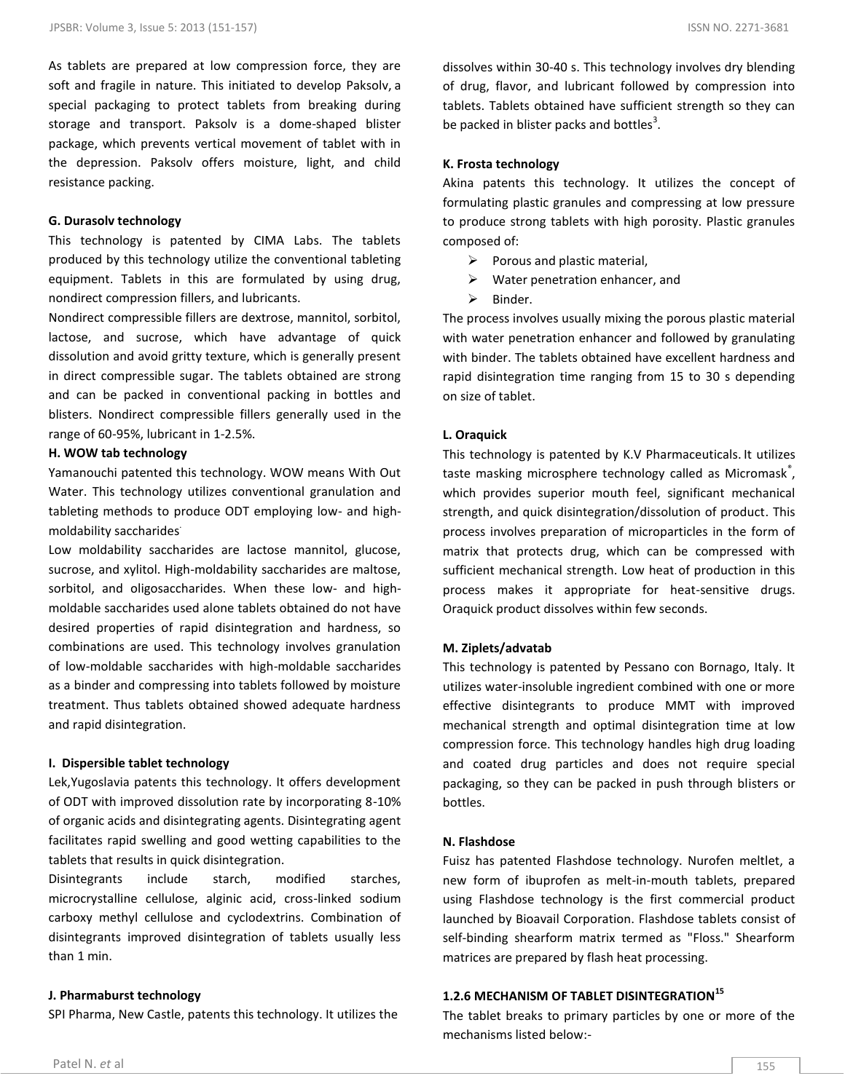As tablets are prepared at low compression force, they are soft and fragile in nature. This initiated to develop Paksolv, a special packaging to protect tablets from breaking during storage and transport. Paksolv is a dome-shaped blister package, which prevents vertical movement of tablet with in the depression. Paksolv offers moisture, light, and child resistance packing.

#### **G. Durasolv technology**

This technology is patented by CIMA Labs. The tablets produced by this technology utilize the conventional tableting equipment. Tablets in this are formulated by using drug, nondirect compression fillers, and lubricants.

Nondirect compressible fillers are dextrose, mannitol, sorbitol, lactose, and sucrose, which have advantage of quick dissolution and avoid gritty texture, which is generally present in direct compressible sugar. The tablets obtained are strong and can be packed in conventional packing in bottles and blisters. Nondirect compressible fillers generally used in the range of 60-95%, lubricant in 1-2.5%.

#### **H. WOW tab technology**

Yamanouchi patented this technology. WOW means With Out Water. This technology utilizes conventional granulation and tableting methods to produce ODT employing low- and highmoldability saccharides.

Low moldability saccharides are lactose mannitol, glucose, sucrose, and xylitol. High-moldability saccharides are maltose, sorbitol, and oligosaccharides. When these low- and highmoldable saccharides used alone tablets obtained do not have desired properties of rapid disintegration and hardness, so combinations are used. This technology involves granulation of low-moldable saccharides with high-moldable saccharides as a binder and compressing into tablets followed by moisture treatment. Thus tablets obtained showed adequate hardness and rapid disintegration.

#### **I. Dispersible tablet technology**

Lek,Yugoslavia patents this technology. It offers development of ODT with improved dissolution rate by incorporating 8-10% of organic acids and disintegrating agents. Disintegrating agent facilitates rapid swelling and good wetting capabilities to the tablets that results in quick disintegration.

Disintegrants include starch, modified starches, microcrystalline cellulose, alginic acid, cross-linked sodium carboxy methyl cellulose and cyclodextrins. Combination of disintegrants improved disintegration of tablets usually less than 1 min.

#### **J. Pharmaburst technology**

SPI Pharma, New Castle, patents this technology. It utilizes the

dissolves within 30-40 s. This technology involves dry blending of drug, flavor, and lubricant followed by compression into tablets. Tablets obtained have sufficient strength so they can be packed in blister packs and bottles<sup>3</sup>.

#### **K. Frosta technology**

Akina patents this technology. It utilizes the concept of formulating plastic granules and compressing at low pressure to produce strong tablets with high porosity. Plastic granules composed of:

- $\triangleright$  Porous and plastic material,
- $\triangleright$  Water penetration enhancer, and
- $\triangleright$  Binder.

The process involves usually mixing the porous plastic material with water penetration enhancer and followed by granulating with binder. The tablets obtained have excellent hardness and rapid disintegration time ranging from 15 to 30 s depending on size of tablet.

#### **L. Oraquick**

This technology is patented by K.V Pharmaceuticals. It utilizes taste masking microsphere technology called as Micromask<sup>®</sup>, which provides superior mouth feel, significant mechanical strength, and quick disintegration/dissolution of product. This process involves preparation of microparticles in the form of matrix that protects drug, which can be compressed with sufficient mechanical strength. Low heat of production in this process makes it appropriate for heat-sensitive drugs. Oraquick product dissolves within few seconds.

#### **M. Ziplets/advatab**

This technology is patented by Pessano con Bornago, Italy. It utilizes water-insoluble ingredient combined with one or more effective disintegrants to produce MMT with improved mechanical strength and optimal disintegration time at low compression force. This technology handles high drug loading and coated drug particles and does not require special packaging, so they can be packed in push through blisters or bottles.

#### **N. Flashdose**

Fuisz has patented Flashdose technology. Nurofen meltlet, a new form of ibuprofen as melt-in-mouth tablets, prepared using Flashdose technology is the first commercial product launched by Bioavail Corporation. Flashdose tablets consist of self-binding shearform matrix termed as "Floss." Shearform matrices are prepared by flash heat processing.

## **1.2.6 MECHANISM OF TABLET DISINTEGRATION<sup>15</sup>**

The tablet breaks to primary particles by one or more of the mechanisms listed below:-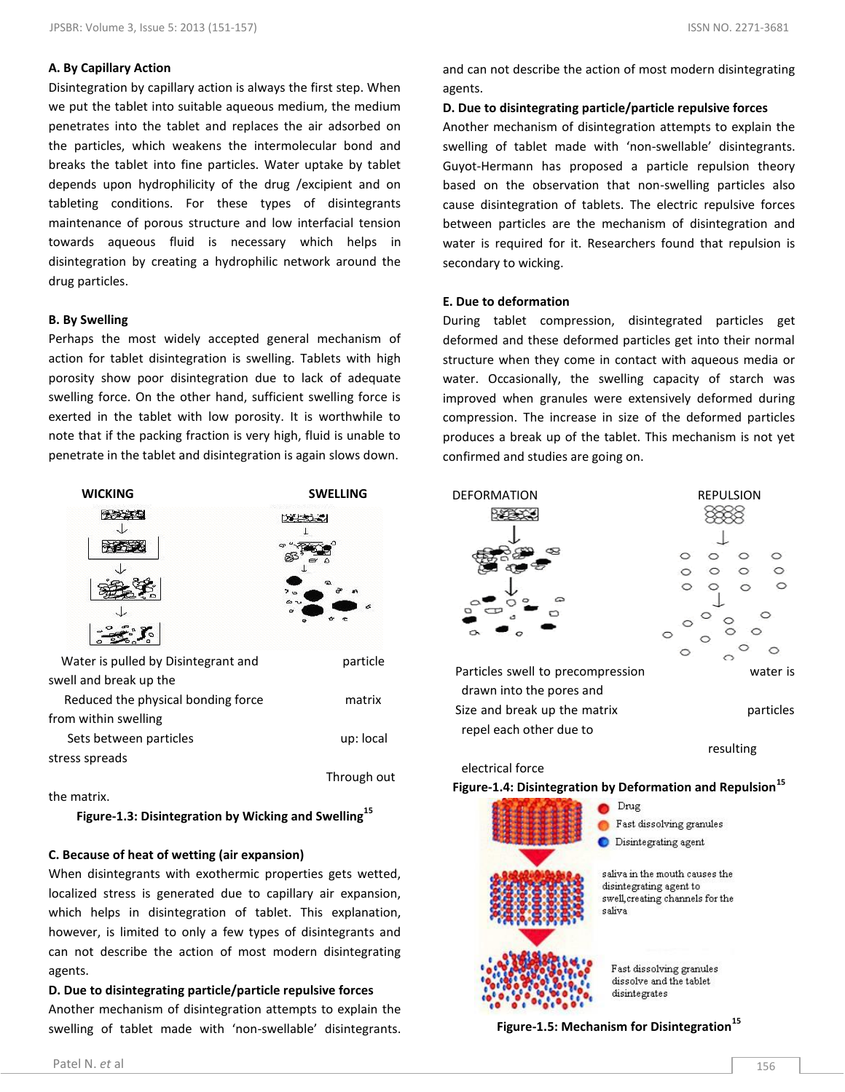## **A. By Capillary Action**

Disintegration by capillary action is always the first step. When we put the tablet into suitable aqueous medium, the medium penetrates into the tablet and replaces the air adsorbed on the particles, which weakens the intermolecular bond and breaks the tablet into fine particles. Water uptake by tablet depends upon hydrophilicity of the drug /excipient and on tableting conditions. For these types of disintegrants maintenance of porous structure and low interfacial tension towards aqueous fluid is necessary which helps in disintegration by creating a hydrophilic network around the drug particles.

## **B. By Swelling**

Perhaps the most widely accepted general mechanism of action for tablet disintegration is swelling. Tablets with high porosity show poor disintegration due to lack of adequate swelling force. On the other hand, sufficient swelling force is exerted in the tablet with low porosity. It is worthwhile to note that if the packing fraction is very high, fluid is unable to penetrate in the tablet and disintegration is again slows down.



the matrix.

**Figure-1.3: Disintegration by Wicking and Swelling<sup>15</sup>**

## **C. Because of heat of wetting (air expansion)**

When disintegrants with exothermic properties gets wetted, localized stress is generated due to capillary air expansion, which helps in disintegration of tablet. This explanation, however, is limited to only a few types of disintegrants and can not describe the action of most modern disintegrating agents.

## **D. Due to disintegrating particle/particle repulsive forces** Another mechanism of disintegration attempts to explain the swelling of tablet made with 'non-swellable' disintegrants.

and can not describe the action of most modern disintegrating agents.

**D. Due to disintegrating particle/particle repulsive forces**

Another mechanism of disintegration attempts to explain the swelling of tablet made with 'non-swellable' disintegrants. Guyot-Hermann has proposed a particle repulsion theory based on the observation that non-swelling particles also cause disintegration of tablets. The electric repulsive forces between particles are the mechanism of disintegration and water is required for it. Researchers found that repulsion is secondary to wicking.

## **E. Due to deformation**

During tablet compression, disintegrated particles get deformed and these deformed particles get into their normal structure when they come in contact with aqueous media or water. Occasionally, the swelling capacity of starch was improved when granules were extensively deformed during compression. The increase in size of the deformed particles produces a break up of the tablet. This mechanism is not yet confirmed and studies are going on.



Particles swell to precompression water is drawn into the pores and Size and break up the matrix **particles** repel each other due to



resulting

## electrical force

**Figure-1.4: Disintegration by Deformation and Repulsion<sup>15</sup>** Drug



Disintegrating agent

Fast dissolving granules

saliva in the mouth causes the disintegrating agent to swell, creating channels for the saliva

Fast dissolving granules dissolve and the tablet disintegrates

**Figure-1.5: Mechanism for Disintegration<sup>15</sup>**